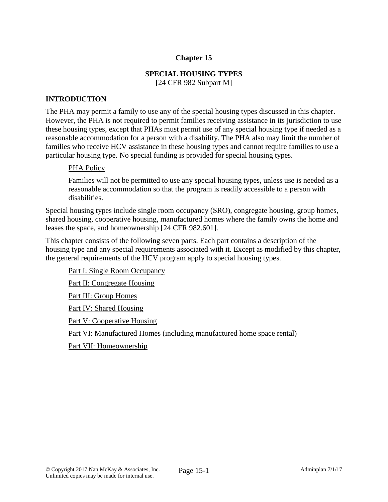### **Chapter 15**

# **SPECIAL HOUSING TYPES**

[24 CFR 982 Subpart M]

#### **INTRODUCTION**

The PHA may permit a family to use any of the special housing types discussed in this chapter. However, the PHA is not required to permit families receiving assistance in its jurisdiction to use these housing types, except that PHAs must permit use of any special housing type if needed as a reasonable accommodation for a person with a disability. The PHA also may limit the number of families who receive HCV assistance in these housing types and cannot require families to use a particular housing type. No special funding is provided for special housing types.

#### PHA Policy

Families will not be permitted to use any special housing types, unless use is needed as a reasonable accommodation so that the program is readily accessible to a person with disabilities.

Special housing types include single room occupancy (SRO), congregate housing, group homes, shared housing, cooperative housing, manufactured homes where the family owns the home and leases the space, and homeownership [24 CFR 982.601].

This chapter consists of the following seven parts. Each part contains a description of the housing type and any special requirements associated with it. Except as modified by this chapter, the general requirements of the HCV program apply to special housing types.

Part I: Single Room Occupancy Part II: Congregate Housing Part III: Group Homes Part IV: Shared Housing Part V: Cooperative Housing Part VI: Manufactured Homes (including manufactured home space rental) Part VII: Homeownership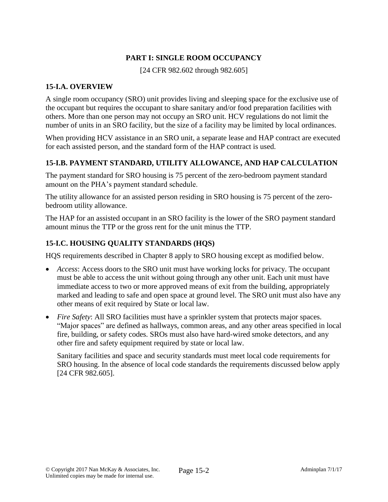# **PART I: SINGLE ROOM OCCUPANCY**

[24 CFR 982.602 through 982.605]

## **15-I.A. OVERVIEW**

A single room occupancy (SRO) unit provides living and sleeping space for the exclusive use of the occupant but requires the occupant to share sanitary and/or food preparation facilities with others. More than one person may not occupy an SRO unit. HCV regulations do not limit the number of units in an SRO facility, but the size of a facility may be limited by local ordinances.

When providing HCV assistance in an SRO unit, a separate lease and HAP contract are executed for each assisted person, and the standard form of the HAP contract is used.

# **15-I.B. PAYMENT STANDARD, UTILITY ALLOWANCE, AND HAP CALCULATION**

The payment standard for SRO housing is 75 percent of the zero-bedroom payment standard amount on the PHA's payment standard schedule.

The utility allowance for an assisted person residing in SRO housing is 75 percent of the zerobedroom utility allowance.

The HAP for an assisted occupant in an SRO facility is the lower of the SRO payment standard amount minus the TTP or the gross rent for the unit minus the TTP.

## **15-I.C. HOUSING QUALITY STANDARDS (HQS)**

HQS requirements described in Chapter 8 apply to SRO housing except as modified below.

- *Access*: Access doors to the SRO unit must have working locks for privacy. The occupant must be able to access the unit without going through any other unit. Each unit must have immediate access to two or more approved means of exit from the building, appropriately marked and leading to safe and open space at ground level. The SRO unit must also have any other means of exit required by State or local law.
- *Fire Safety*: All SRO facilities must have a sprinkler system that protects major spaces. "Major spaces" are defined as hallways, common areas, and any other areas specified in local fire, building, or safety codes. SROs must also have hard-wired smoke detectors, and any other fire and safety equipment required by state or local law.

Sanitary facilities and space and security standards must meet local code requirements for SRO housing. In the absence of local code standards the requirements discussed below apply [24 CFR 982.605].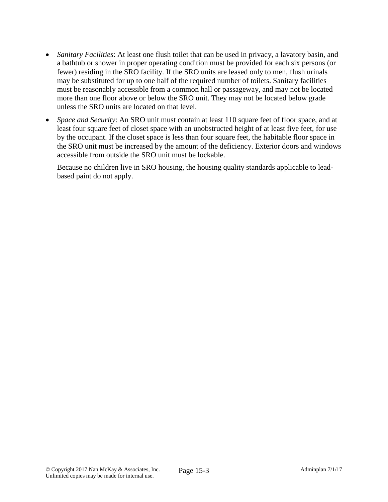- *Sanitary Facilities*: At least one flush toilet that can be used in privacy, a lavatory basin, and a bathtub or shower in proper operating condition must be provided for each six persons (or fewer) residing in the SRO facility. If the SRO units are leased only to men, flush urinals may be substituted for up to one half of the required number of toilets. Sanitary facilities must be reasonably accessible from a common hall or passageway, and may not be located more than one floor above or below the SRO unit. They may not be located below grade unless the SRO units are located on that level.
- *Space and Security*: An SRO unit must contain at least 110 square feet of floor space, and at least four square feet of closet space with an unobstructed height of at least five feet, for use by the occupant. If the closet space is less than four square feet, the habitable floor space in the SRO unit must be increased by the amount of the deficiency. Exterior doors and windows accessible from outside the SRO unit must be lockable.

Because no children live in SRO housing, the housing quality standards applicable to leadbased paint do not apply.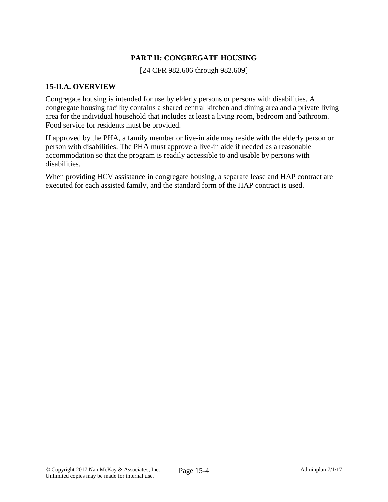# **PART II: CONGREGATE HOUSING**

[24 CFR 982.606 through 982.609]

#### **15-II.A. OVERVIEW**

Congregate housing is intended for use by elderly persons or persons with disabilities. A congregate housing facility contains a shared central kitchen and dining area and a private living area for the individual household that includes at least a living room, bedroom and bathroom. Food service for residents must be provided.

If approved by the PHA, a family member or live-in aide may reside with the elderly person or person with disabilities. The PHA must approve a live-in aide if needed as a reasonable accommodation so that the program is readily accessible to and usable by persons with disabilities.

When providing HCV assistance in congregate housing, a separate lease and HAP contract are executed for each assisted family, and the standard form of the HAP contract is used.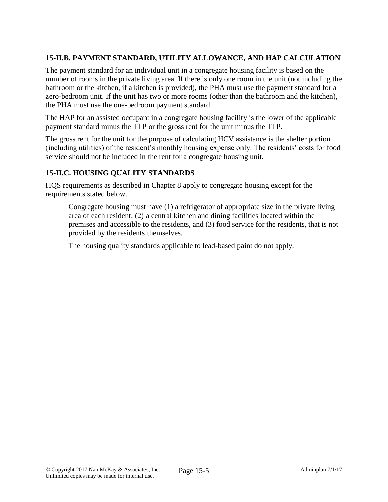# **15-II.B. PAYMENT STANDARD, UTILITY ALLOWANCE, AND HAP CALCULATION**

The payment standard for an individual unit in a congregate housing facility is based on the number of rooms in the private living area. If there is only one room in the unit (not including the bathroom or the kitchen, if a kitchen is provided), the PHA must use the payment standard for a zero-bedroom unit. If the unit has two or more rooms (other than the bathroom and the kitchen), the PHA must use the one-bedroom payment standard.

The HAP for an assisted occupant in a congregate housing facility is the lower of the applicable payment standard minus the TTP or the gross rent for the unit minus the TTP.

The gross rent for the unit for the purpose of calculating HCV assistance is the shelter portion (including utilities) of the resident's monthly housing expense only. The residents' costs for food service should not be included in the rent for a congregate housing unit.

# **15-II.C. HOUSING QUALITY STANDARDS**

HQS requirements as described in Chapter 8 apply to congregate housing except for the requirements stated below.

Congregate housing must have (1) a refrigerator of appropriate size in the private living area of each resident; (2) a central kitchen and dining facilities located within the premises and accessible to the residents, and (3) food service for the residents, that is not provided by the residents themselves.

The housing quality standards applicable to lead-based paint do not apply.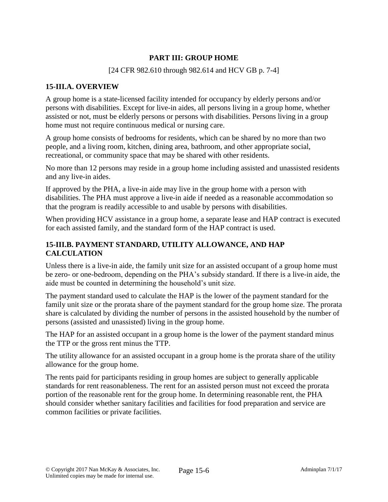# **PART III: GROUP HOME**

#### [24 CFR 982.610 through 982.614 and HCV GB p. 7-4]

#### **15-III.A. OVERVIEW**

A group home is a state-licensed facility intended for occupancy by elderly persons and/or persons with disabilities. Except for live-in aides, all persons living in a group home, whether assisted or not, must be elderly persons or persons with disabilities. Persons living in a group home must not require continuous medical or nursing care.

A group home consists of bedrooms for residents, which can be shared by no more than two people, and a living room, kitchen, dining area, bathroom, and other appropriate social, recreational, or community space that may be shared with other residents.

No more than 12 persons may reside in a group home including assisted and unassisted residents and any live-in aides.

If approved by the PHA, a live-in aide may live in the group home with a person with disabilities. The PHA must approve a live-in aide if needed as a reasonable accommodation so that the program is readily accessible to and usable by persons with disabilities.

When providing HCV assistance in a group home, a separate lease and HAP contract is executed for each assisted family, and the standard form of the HAP contract is used.

### **15-III.B. PAYMENT STANDARD, UTILITY ALLOWANCE, AND HAP CALCULATION**

Unless there is a live-in aide, the family unit size for an assisted occupant of a group home must be zero- or one-bedroom, depending on the PHA's subsidy standard. If there is a live-in aide, the aide must be counted in determining the household's unit size.

The payment standard used to calculate the HAP is the lower of the payment standard for the family unit size or the prorata share of the payment standard for the group home size. The prorata share is calculated by dividing the number of persons in the assisted household by the number of persons (assisted and unassisted) living in the group home.

The HAP for an assisted occupant in a group home is the lower of the payment standard minus the TTP or the gross rent minus the TTP.

The utility allowance for an assisted occupant in a group home is the prorata share of the utility allowance for the group home.

The rents paid for participants residing in group homes are subject to generally applicable standards for rent reasonableness. The rent for an assisted person must not exceed the prorata portion of the reasonable rent for the group home. In determining reasonable rent, the PHA should consider whether sanitary facilities and facilities for food preparation and service are common facilities or private facilities.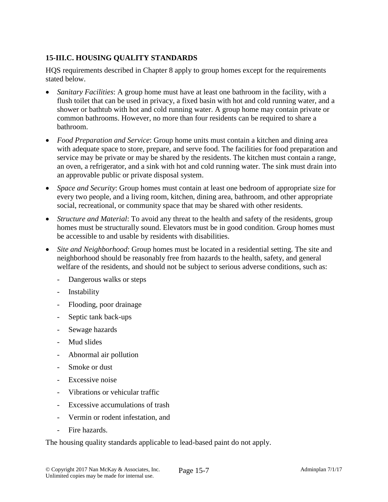# **15-III.C. HOUSING QUALITY STANDARDS**

HQS requirements described in Chapter 8 apply to group homes except for the requirements stated below.

- *Sanitary Facilities*: A group home must have at least one bathroom in the facility, with a flush toilet that can be used in privacy, a fixed basin with hot and cold running water, and a shower or bathtub with hot and cold running water. A group home may contain private or common bathrooms. However, no more than four residents can be required to share a bathroom.
- *Food Preparation and Service*: Group home units must contain a kitchen and dining area with adequate space to store, prepare, and serve food. The facilities for food preparation and service may be private or may be shared by the residents. The kitchen must contain a range, an oven, a refrigerator, and a sink with hot and cold running water. The sink must drain into an approvable public or private disposal system.
- *Space and Security*: Group homes must contain at least one bedroom of appropriate size for every two people, and a living room, kitchen, dining area, bathroom, and other appropriate social, recreational, or community space that may be shared with other residents.
- *Structure and Material*: To avoid any threat to the health and safety of the residents, group homes must be structurally sound. Elevators must be in good condition. Group homes must be accessible to and usable by residents with disabilities.
- *Site and Neighborhood*: Group homes must be located in a residential setting. The site and neighborhood should be reasonably free from hazards to the health, safety, and general welfare of the residents, and should not be subject to serious adverse conditions, such as:
	- Dangerous walks or steps
	- Instability
	- Flooding, poor drainage
	- Septic tank back-ups
	- Sewage hazards
	- Mud slides
	- Abnormal air pollution
	- Smoke or dust
	- Excessive noise
	- Vibrations or vehicular traffic
	- Excessive accumulations of trash
	- Vermin or rodent infestation, and
	- Fire hazards.

The housing quality standards applicable to lead-based paint do not apply.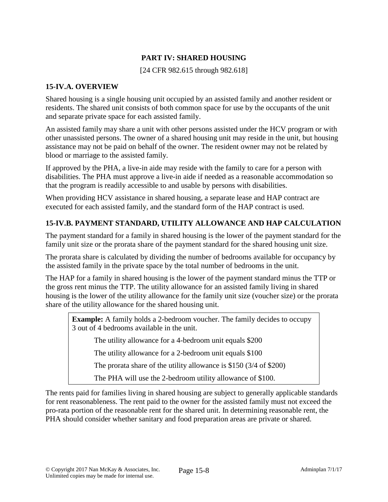# **PART IV: SHARED HOUSING**

[24 CFR 982.615 through 982.618]

#### **15-IV.A. OVERVIEW**

Shared housing is a single housing unit occupied by an assisted family and another resident or residents. The shared unit consists of both common space for use by the occupants of the unit and separate private space for each assisted family.

An assisted family may share a unit with other persons assisted under the HCV program or with other unassisted persons. The owner of a shared housing unit may reside in the unit, but housing assistance may not be paid on behalf of the owner. The resident owner may not be related by blood or marriage to the assisted family.

If approved by the PHA, a live-in aide may reside with the family to care for a person with disabilities. The PHA must approve a live-in aide if needed as a reasonable accommodation so that the program is readily accessible to and usable by persons with disabilities.

When providing HCV assistance in shared housing, a separate lease and HAP contract are executed for each assisted family, and the standard form of the HAP contract is used.

### **15-IV.B. PAYMENT STANDARD, UTILITY ALLOWANCE AND HAP CALCULATION**

The payment standard for a family in shared housing is the lower of the payment standard for the family unit size or the prorata share of the payment standard for the shared housing unit size.

The prorata share is calculated by dividing the number of bedrooms available for occupancy by the assisted family in the private space by the total number of bedrooms in the unit.

The HAP for a family in shared housing is the lower of the payment standard minus the TTP or the gross rent minus the TTP. The utility allowance for an assisted family living in shared housing is the lower of the utility allowance for the family unit size (voucher size) or the prorata share of the utility allowance for the shared housing unit.

**Example:** A family holds a 2-bedroom voucher. The family decides to occupy 3 out of 4 bedrooms available in the unit.

The utility allowance for a 4-bedroom unit equals \$200

The utility allowance for a 2-bedroom unit equals \$100

The prorata share of the utility allowance is \$150 (3/4 of \$200)

The PHA will use the 2-bedroom utility allowance of \$100.

The rents paid for families living in shared housing are subject to generally applicable standards for rent reasonableness. The rent paid to the owner for the assisted family must not exceed the pro-rata portion of the reasonable rent for the shared unit. In determining reasonable rent, the PHA should consider whether sanitary and food preparation areas are private or shared.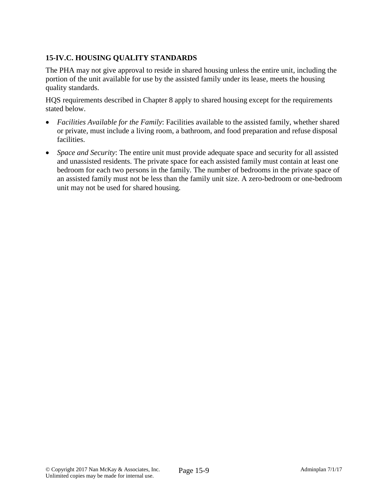# **15-IV.C. HOUSING QUALITY STANDARDS**

The PHA may not give approval to reside in shared housing unless the entire unit, including the portion of the unit available for use by the assisted family under its lease, meets the housing quality standards.

HQS requirements described in Chapter 8 apply to shared housing except for the requirements stated below.

- *Facilities Available for the Family*: Facilities available to the assisted family, whether shared or private, must include a living room, a bathroom, and food preparation and refuse disposal facilities.
- *Space and Security*: The entire unit must provide adequate space and security for all assisted and unassisted residents. The private space for each assisted family must contain at least one bedroom for each two persons in the family. The number of bedrooms in the private space of an assisted family must not be less than the family unit size. A zero-bedroom or one-bedroom unit may not be used for shared housing.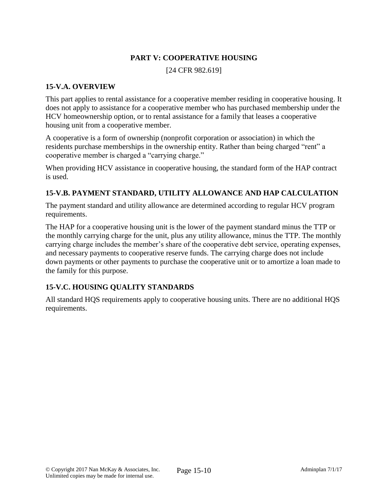## **PART V: COOPERATIVE HOUSING**

[24 CFR 982.619]

#### **15-V.A. OVERVIEW**

This part applies to rental assistance for a cooperative member residing in cooperative housing. It does not apply to assistance for a cooperative member who has purchased membership under the HCV homeownership option, or to rental assistance for a family that leases a cooperative housing unit from a cooperative member.

A cooperative is a form of ownership (nonprofit corporation or association) in which the residents purchase memberships in the ownership entity. Rather than being charged "rent" a cooperative member is charged a "carrying charge."

When providing HCV assistance in cooperative housing, the standard form of the HAP contract is used.

### **15-V.B. PAYMENT STANDARD, UTILITY ALLOWANCE AND HAP CALCULATION**

The payment standard and utility allowance are determined according to regular HCV program requirements.

The HAP for a cooperative housing unit is the lower of the payment standard minus the TTP or the monthly carrying charge for the unit, plus any utility allowance, minus the TTP. The monthly carrying charge includes the member's share of the cooperative debt service, operating expenses, and necessary payments to cooperative reserve funds. The carrying charge does not include down payments or other payments to purchase the cooperative unit or to amortize a loan made to the family for this purpose.

### **15-V.C. HOUSING QUALITY STANDARDS**

All standard HQS requirements apply to cooperative housing units. There are no additional HQS requirements.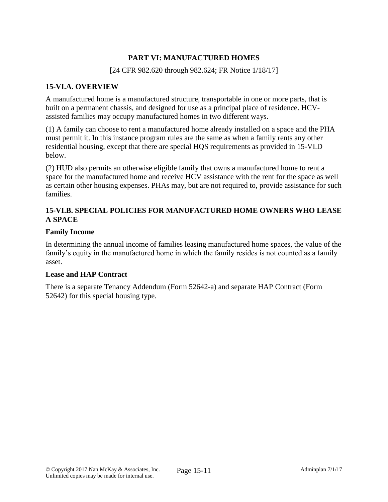### **PART VI: MANUFACTURED HOMES**

#### [24 CFR 982.620 through 982.624; FR Notice 1/18/17]

### **15-VI.A. OVERVIEW**

A manufactured home is a manufactured structure, transportable in one or more parts, that is built on a permanent chassis, and designed for use as a principal place of residence. HCVassisted families may occupy manufactured homes in two different ways.

(1) A family can choose to rent a manufactured home already installed on a space and the PHA must permit it. In this instance program rules are the same as when a family rents any other residential housing, except that there are special HQS requirements as provided in 15-VI.D below.

(2) HUD also permits an otherwise eligible family that owns a manufactured home to rent a space for the manufactured home and receive HCV assistance with the rent for the space as well as certain other housing expenses. PHAs may, but are not required to, provide assistance for such families.

## **15-VI.B. SPECIAL POLICIES FOR MANUFACTURED HOME OWNERS WHO LEASE A SPACE**

#### **Family Income**

In determining the annual income of families leasing manufactured home spaces, the value of the family's equity in the manufactured home in which the family resides is not counted as a family asset.

#### **Lease and HAP Contract**

There is a separate Tenancy Addendum (Form 52642-a) and separate HAP Contract (Form 52642) for this special housing type.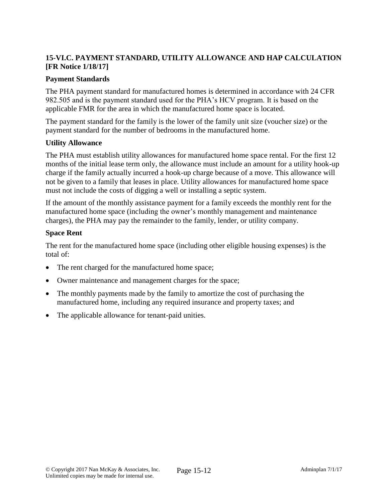# **15-VI.C. PAYMENT STANDARD, UTILITY ALLOWANCE AND HAP CALCULATION [FR Notice 1/18/17]**

#### **Payment Standards**

The PHA payment standard for manufactured homes is determined in accordance with 24 CFR 982.505 and is the payment standard used for the PHA's HCV program. It is based on the applicable FMR for the area in which the manufactured home space is located.

The payment standard for the family is the lower of the family unit size (voucher size) or the payment standard for the number of bedrooms in the manufactured home.

#### **Utility Allowance**

The PHA must establish utility allowances for manufactured home space rental. For the first 12 months of the initial lease term only, the allowance must include an amount for a utility hook-up charge if the family actually incurred a hook-up charge because of a move. This allowance will not be given to a family that leases in place. Utility allowances for manufactured home space must not include the costs of digging a well or installing a septic system.

If the amount of the monthly assistance payment for a family exceeds the monthly rent for the manufactured home space (including the owner's monthly management and maintenance charges), the PHA may pay the remainder to the family, lender, or utility company.

## **Space Rent**

The rent for the manufactured home space (including other eligible housing expenses) is the total of:

- The rent charged for the manufactured home space;
- Owner maintenance and management charges for the space;
- The monthly payments made by the family to amortize the cost of purchasing the manufactured home, including any required insurance and property taxes; and
- The applicable allowance for tenant-paid unities.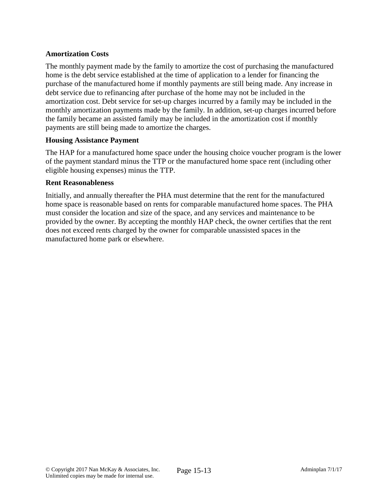#### **Amortization Costs**

The monthly payment made by the family to amortize the cost of purchasing the manufactured home is the debt service established at the time of application to a lender for financing the purchase of the manufactured home if monthly payments are still being made. Any increase in debt service due to refinancing after purchase of the home may not be included in the amortization cost. Debt service for set-up charges incurred by a family may be included in the monthly amortization payments made by the family. In addition, set-up charges incurred before the family became an assisted family may be included in the amortization cost if monthly payments are still being made to amortize the charges.

#### **Housing Assistance Payment**

The HAP for a manufactured home space under the housing choice voucher program is the lower of the payment standard minus the TTP or the manufactured home space rent (including other eligible housing expenses) minus the TTP.

#### **Rent Reasonableness**

Initially, and annually thereafter the PHA must determine that the rent for the manufactured home space is reasonable based on rents for comparable manufactured home spaces. The PHA must consider the location and size of the space, and any services and maintenance to be provided by the owner. By accepting the monthly HAP check, the owner certifies that the rent does not exceed rents charged by the owner for comparable unassisted spaces in the manufactured home park or elsewhere.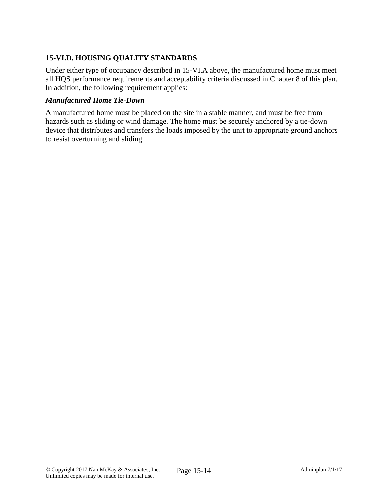# **15-VI.D. HOUSING QUALITY STANDARDS**

Under either type of occupancy described in 15-VI.A above, the manufactured home must meet all HQS performance requirements and acceptability criteria discussed in Chapter 8 of this plan. In addition, the following requirement applies:

#### *Manufactured Home Tie-Down*

A manufactured home must be placed on the site in a stable manner, and must be free from hazards such as sliding or wind damage. The home must be securely anchored by a tie-down device that distributes and transfers the loads imposed by the unit to appropriate ground anchors to resist overturning and sliding.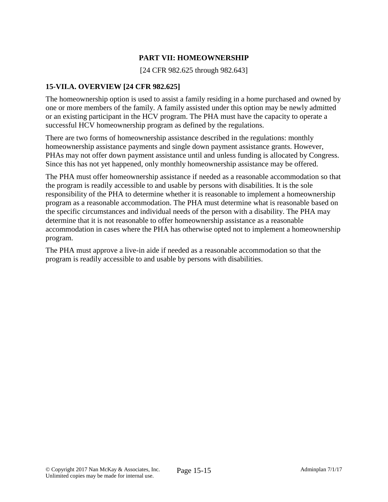## **PART VII: HOMEOWNERSHIP**

[24 CFR 982.625 through 982.643]

### **15-VII.A. OVERVIEW [24 CFR 982.625]**

The homeownership option is used to assist a family residing in a home purchased and owned by one or more members of the family. A family assisted under this option may be newly admitted or an existing participant in the HCV program. The PHA must have the capacity to operate a successful HCV homeownership program as defined by the regulations.

There are two forms of homeownership assistance described in the regulations: monthly homeownership assistance payments and single down payment assistance grants. However, PHAs may not offer down payment assistance until and unless funding is allocated by Congress. Since this has not yet happened, only monthly homeownership assistance may be offered.

The PHA must offer homeownership assistance if needed as a reasonable accommodation so that the program is readily accessible to and usable by persons with disabilities. It is the sole responsibility of the PHA to determine whether it is reasonable to implement a homeownership program as a reasonable accommodation. The PHA must determine what is reasonable based on the specific circumstances and individual needs of the person with a disability. The PHA may determine that it is not reasonable to offer homeownership assistance as a reasonable accommodation in cases where the PHA has otherwise opted not to implement a homeownership program.

The PHA must approve a live-in aide if needed as a reasonable accommodation so that the program is readily accessible to and usable by persons with disabilities.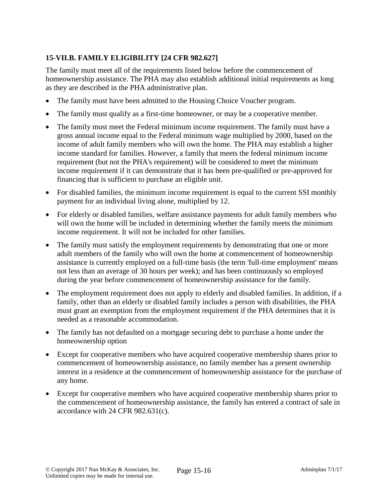# **15-VII.B. FAMILY ELIGIBILITY [24 CFR 982.627]**

The family must meet all of the requirements listed below before the commencement of homeownership assistance. The PHA may also establish additional initial requirements as long as they are described in the PHA administrative plan.

- The family must have been admitted to the Housing Choice Voucher program.
- The family must qualify as a first-time homeowner, or may be a cooperative member.
- The family must meet the Federal minimum income requirement. The family must have a gross annual income equal to the Federal minimum wage multiplied by 2000, based on the income of adult family members who will own the home. The PHA may establish a higher income standard for families. However, a family that meets the federal minimum income requirement (but not the PHA's requirement) will be considered to meet the minimum income requirement if it can demonstrate that it has been pre-qualified or pre-approved for financing that is sufficient to purchase an eligible unit.
- For disabled families, the minimum income requirement is equal to the current SSI monthly payment for an individual living alone, multiplied by 12.
- For elderly or disabled families, welfare assistance payments for adult family members who will own the home will be included in determining whether the family meets the minimum income requirement. It will not be included for other families.
- The family must satisfy the employment requirements by demonstrating that one or more adult members of the family who will own the home at commencement of homeownership assistance is currently employed on a full-time basis (the term 'full-time employment' means not less than an average of 30 hours per week); and has been continuously so employed during the year before commencement of homeownership assistance for the family.
- The employment requirement does not apply to elderly and disabled families. In addition, if a family, other than an elderly or disabled family includes a person with disabilities, the PHA must grant an exemption from the employment requirement if the PHA determines that it is needed as a reasonable accommodation.
- The family has not defaulted on a mortgage securing debt to purchase a home under the homeownership option
- Except for cooperative members who have acquired cooperative membership shares prior to commencement of homeownership assistance, no family member has a present ownership interest in a residence at the commencement of homeownership assistance for the purchase of any home.
- Except for cooperative members who have acquired cooperative membership shares prior to the commencement of homeownership assistance, the family has entered a contract of sale in accordance with 24 CFR 982.631(c).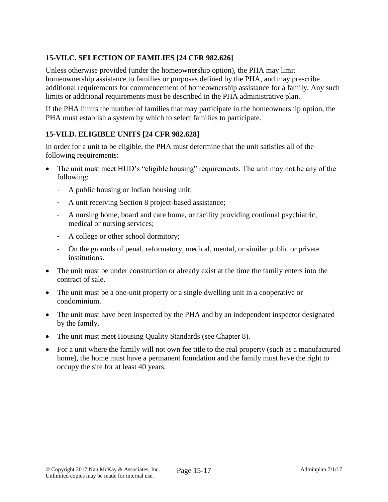# **15-VII.C. SELECTION OF FAMILIES [24 CFR 982.626]**

Unless otherwise provided (under the homeownership option), the PHA may limit homeownership assistance to families or purposes defined by the PHA, and may prescribe additional requirements for commencement of homeownership assistance for a family. Any such limits or additional requirements must be described in the PHA administrative plan.

If the PHA limits the number of families that may participate in the homeownership option, the PHA must establish a system by which to select families to participate.

# **15-VII.D. ELIGIBLE UNITS [24 CFR 982.628]**

In order for a unit to be eligible, the PHA must determine that the unit satisfies all of the following requirements:

- The unit must meet HUD's "eligible housing" requirements. The unit may not be any of the following:
	- A public housing or Indian housing unit;
	- A unit receiving Section 8 project-based assistance;
	- A nursing home, board and care home, or facility providing continual psychiatric, medical or nursing services;
	- A college or other school dormitory;
	- On the grounds of penal, reformatory, medical, mental, or similar public or private institutions.
- The unit must be under construction or already exist at the time the family enters into the contract of sale.
- The unit must be a one-unit property or a single dwelling unit in a cooperative or condominium.
- The unit must have been inspected by the PHA and by an independent inspector designated by the family.
- The unit must meet Housing Quality Standards (see Chapter 8).
- For a unit where the family will not own fee title to the real property (such as a manufactured home), the home must have a permanent foundation and the family must have the right to occupy the site for at least 40 years.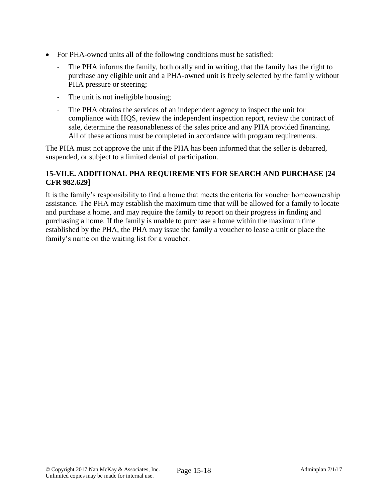- For PHA-owned units all of the following conditions must be satisfied:
	- The PHA informs the family, both orally and in writing, that the family has the right to purchase any eligible unit and a PHA-owned unit is freely selected by the family without PHA pressure or steering;
	- The unit is not ineligible housing;
	- The PHA obtains the services of an independent agency to inspect the unit for compliance with HQS, review the independent inspection report, review the contract of sale, determine the reasonableness of the sales price and any PHA provided financing. All of these actions must be completed in accordance with program requirements.

The PHA must not approve the unit if the PHA has been informed that the seller is debarred, suspended, or subject to a limited denial of participation.

## **15-VII.E. ADDITIONAL PHA REQUIREMENTS FOR SEARCH AND PURCHASE [24 CFR 982.629]**

It is the family's responsibility to find a home that meets the criteria for voucher homeownership assistance. The PHA may establish the maximum time that will be allowed for a family to locate and purchase a home, and may require the family to report on their progress in finding and purchasing a home. If the family is unable to purchase a home within the maximum time established by the PHA, the PHA may issue the family a voucher to lease a unit or place the family's name on the waiting list for a voucher.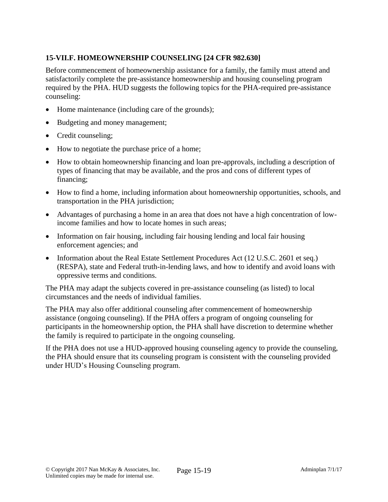# **15-VII.F. HOMEOWNERSHIP COUNSELING [24 CFR 982.630]**

Before commencement of homeownership assistance for a family, the family must attend and satisfactorily complete the pre-assistance homeownership and housing counseling program required by the PHA. HUD suggests the following topics for the PHA-required pre-assistance counseling:

- Home maintenance (including care of the grounds);
- Budgeting and money management;
- Credit counseling;
- How to negotiate the purchase price of a home;
- How to obtain homeownership financing and loan pre-approvals, including a description of types of financing that may be available, and the pros and cons of different types of financing;
- How to find a home, including information about homeownership opportunities, schools, and transportation in the PHA jurisdiction;
- Advantages of purchasing a home in an area that does not have a high concentration of lowincome families and how to locate homes in such areas;
- Information on fair housing, including fair housing lending and local fair housing enforcement agencies; and
- Information about the Real Estate Settlement Procedures Act (12 U.S.C. 2601 et seq.) (RESPA), state and Federal truth-in-lending laws, and how to identify and avoid loans with oppressive terms and conditions.

The PHA may adapt the subjects covered in pre-assistance counseling (as listed) to local circumstances and the needs of individual families.

The PHA may also offer additional counseling after commencement of homeownership assistance (ongoing counseling). If the PHA offers a program of ongoing counseling for participants in the homeownership option, the PHA shall have discretion to determine whether the family is required to participate in the ongoing counseling.

If the PHA does not use a HUD-approved housing counseling agency to provide the counseling, the PHA should ensure that its counseling program is consistent with the counseling provided under HUD's Housing Counseling program.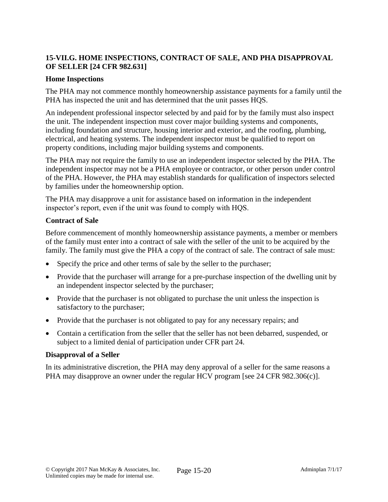## **15-VII.G. HOME INSPECTIONS, CONTRACT OF SALE, AND PHA DISAPPROVAL OF SELLER [24 CFR 982.631]**

#### **Home Inspections**

The PHA may not commence monthly homeownership assistance payments for a family until the PHA has inspected the unit and has determined that the unit passes HQS.

An independent professional inspector selected by and paid for by the family must also inspect the unit. The independent inspection must cover major building systems and components, including foundation and structure, housing interior and exterior, and the roofing, plumbing, electrical, and heating systems. The independent inspector must be qualified to report on property conditions, including major building systems and components.

The PHA may not require the family to use an independent inspector selected by the PHA. The independent inspector may not be a PHA employee or contractor, or other person under control of the PHA. However, the PHA may establish standards for qualification of inspectors selected by families under the homeownership option.

The PHA may disapprove a unit for assistance based on information in the independent inspector's report, even if the unit was found to comply with HQS.

#### **Contract of Sale**

Before commencement of monthly homeownership assistance payments, a member or members of the family must enter into a contract of sale with the seller of the unit to be acquired by the family. The family must give the PHA a copy of the contract of sale. The contract of sale must:

- Specify the price and other terms of sale by the seller to the purchaser;
- Provide that the purchaser will arrange for a pre-purchase inspection of the dwelling unit by an independent inspector selected by the purchaser;
- Provide that the purchaser is not obligated to purchase the unit unless the inspection is satisfactory to the purchaser;
- Provide that the purchaser is not obligated to pay for any necessary repairs; and
- Contain a certification from the seller that the seller has not been debarred, suspended, or subject to a limited denial of participation under CFR part 24.

### **Disapproval of a Seller**

In its administrative discretion, the PHA may deny approval of a seller for the same reasons a PHA may disapprove an owner under the regular HCV program [see 24 CFR 982.306(c)].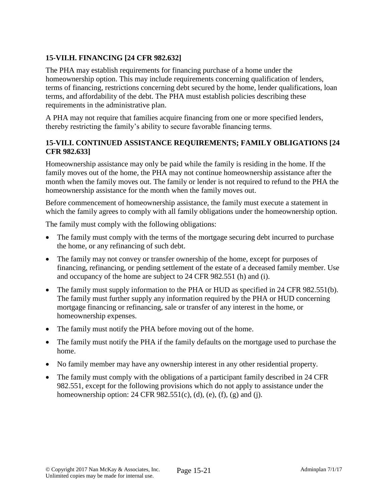# **15-VII.H. FINANCING [24 CFR 982.632]**

The PHA may establish requirements for financing purchase of a home under the homeownership option. This may include requirements concerning qualification of lenders, terms of financing, restrictions concerning debt secured by the home, lender qualifications, loan terms, and affordability of the debt. The PHA must establish policies describing these requirements in the administrative plan.

A PHA may not require that families acquire financing from one or more specified lenders, thereby restricting the family's ability to secure favorable financing terms.

### **15-VII.I. CONTINUED ASSISTANCE REQUIREMENTS; FAMILY OBLIGATIONS [24 CFR 982.633]**

Homeownership assistance may only be paid while the family is residing in the home. If the family moves out of the home, the PHA may not continue homeownership assistance after the month when the family moves out. The family or lender is not required to refund to the PHA the homeownership assistance for the month when the family moves out.

Before commencement of homeownership assistance, the family must execute a statement in which the family agrees to comply with all family obligations under the homeownership option.

The family must comply with the following obligations:

- The family must comply with the terms of the mortgage securing debt incurred to purchase the home, or any refinancing of such debt.
- The family may not convey or transfer ownership of the home, except for purposes of financing, refinancing, or pending settlement of the estate of a deceased family member. Use and occupancy of the home are subject to 24 CFR 982.551 (h) and (i).
- The family must supply information to the PHA or HUD as specified in 24 CFR 982.551(b). The family must further supply any information required by the PHA or HUD concerning mortgage financing or refinancing, sale or transfer of any interest in the home, or homeownership expenses.
- The family must notify the PHA before moving out of the home.
- The family must notify the PHA if the family defaults on the mortgage used to purchase the home.
- No family member may have any ownership interest in any other residential property.
- The family must comply with the obligations of a participant family described in 24 CFR 982.551, except for the following provisions which do not apply to assistance under the homeownership option: 24 CFR  $982.551(c)$ , (d), (e), (f), (g) and (j).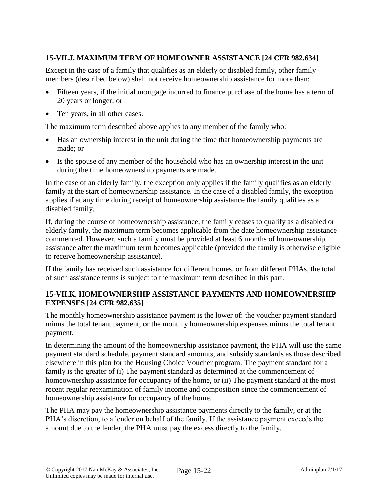# **15-VII.J. MAXIMUM TERM OF HOMEOWNER ASSISTANCE [24 CFR 982.634]**

Except in the case of a family that qualifies as an elderly or disabled family, other family members (described below) shall not receive homeownership assistance for more than:

- Fifteen years, if the initial mortgage incurred to finance purchase of the home has a term of 20 years or longer; or
- Ten years, in all other cases.

The maximum term described above applies to any member of the family who:

- Has an ownership interest in the unit during the time that homeownership payments are made; or
- Is the spouse of any member of the household who has an ownership interest in the unit during the time homeownership payments are made.

In the case of an elderly family, the exception only applies if the family qualifies as an elderly family at the start of homeownership assistance. In the case of a disabled family, the exception applies if at any time during receipt of homeownership assistance the family qualifies as a disabled family.

If, during the course of homeownership assistance, the family ceases to qualify as a disabled or elderly family, the maximum term becomes applicable from the date homeownership assistance commenced. However, such a family must be provided at least 6 months of homeownership assistance after the maximum term becomes applicable (provided the family is otherwise eligible to receive homeownership assistance).

If the family has received such assistance for different homes, or from different PHAs, the total of such assistance terms is subject to the maximum term described in this part.

## **15-VII.K. HOMEOWNERSHIP ASSISTANCE PAYMENTS AND HOMEOWNERSHIP EXPENSES [24 CFR 982.635]**

The monthly homeownership assistance payment is the lower of: the voucher payment standard minus the total tenant payment, or the monthly homeownership expenses minus the total tenant payment.

In determining the amount of the homeownership assistance payment, the PHA will use the same payment standard schedule, payment standard amounts, and subsidy standards as those described elsewhere in this plan for the Housing Choice Voucher program. The payment standard for a family is the greater of (i) The payment standard as determined at the commencement of homeownership assistance for occupancy of the home, or (ii) The payment standard at the most recent regular reexamination of family income and composition since the commencement of homeownership assistance for occupancy of the home.

The PHA may pay the homeownership assistance payments directly to the family, or at the PHA's discretion, to a lender on behalf of the family. If the assistance payment exceeds the amount due to the lender, the PHA must pay the excess directly to the family.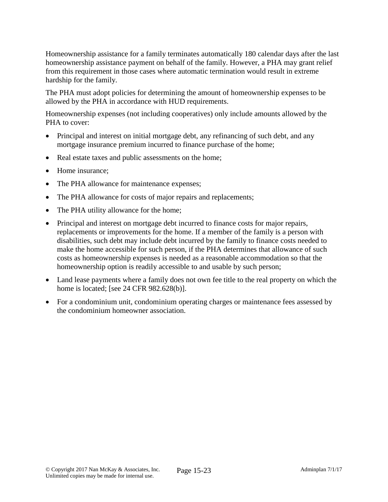Homeownership assistance for a family terminates automatically 180 calendar days after the last homeownership assistance payment on behalf of the family. However, a PHA may grant relief from this requirement in those cases where automatic termination would result in extreme hardship for the family.

The PHA must adopt policies for determining the amount of homeownership expenses to be allowed by the PHA in accordance with HUD requirements.

Homeownership expenses (not including cooperatives) only include amounts allowed by the PHA to cover:

- Principal and interest on initial mortgage debt, any refinancing of such debt, and any mortgage insurance premium incurred to finance purchase of the home;
- Real estate taxes and public assessments on the home;
- Home insurance:
- The PHA allowance for maintenance expenses;
- The PHA allowance for costs of major repairs and replacements;
- The PHA utility allowance for the home;
- Principal and interest on mortgage debt incurred to finance costs for major repairs, replacements or improvements for the home. If a member of the family is a person with disabilities, such debt may include debt incurred by the family to finance costs needed to make the home accessible for such person, if the PHA determines that allowance of such costs as homeownership expenses is needed as a reasonable accommodation so that the homeownership option is readily accessible to and usable by such person;
- Land lease payments where a family does not own fee title to the real property on which the home is located; [see 24 CFR 982.628(b)].
- For a condominium unit, condominium operating charges or maintenance fees assessed by the condominium homeowner association.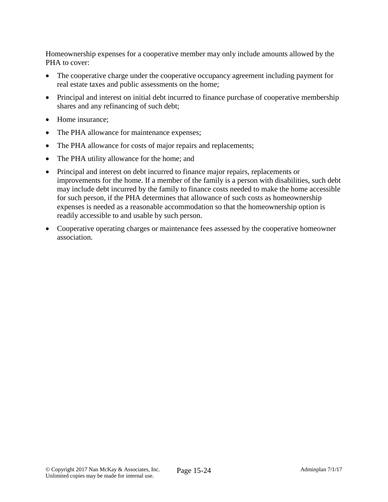Homeownership expenses for a cooperative member may only include amounts allowed by the PHA to cover:

- The cooperative charge under the cooperative occupancy agreement including payment for real estate taxes and public assessments on the home;
- Principal and interest on initial debt incurred to finance purchase of cooperative membership shares and any refinancing of such debt;
- Home insurance:
- The PHA allowance for maintenance expenses;
- The PHA allowance for costs of major repairs and replacements;
- The PHA utility allowance for the home; and
- Principal and interest on debt incurred to finance major repairs, replacements or improvements for the home. If a member of the family is a person with disabilities, such debt may include debt incurred by the family to finance costs needed to make the home accessible for such person, if the PHA determines that allowance of such costs as homeownership expenses is needed as a reasonable accommodation so that the homeownership option is readily accessible to and usable by such person.
- Cooperative operating charges or maintenance fees assessed by the cooperative homeowner association.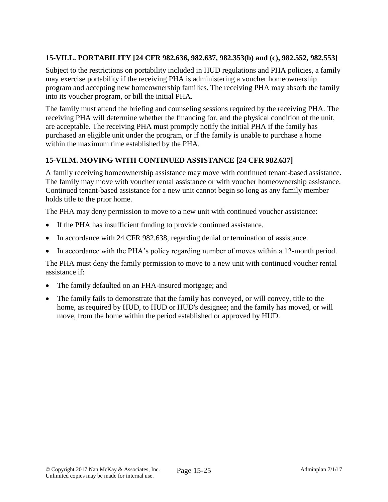# **15-VII.L. PORTABILITY [24 CFR 982.636, 982.637, 982.353(b) and (c), 982.552, 982.553]**

Subject to the restrictions on portability included in HUD regulations and PHA policies, a family may exercise portability if the receiving PHA is administering a voucher homeownership program and accepting new homeownership families. The receiving PHA may absorb the family into its voucher program, or bill the initial PHA.

The family must attend the briefing and counseling sessions required by the receiving PHA. The receiving PHA will determine whether the financing for, and the physical condition of the unit, are acceptable. The receiving PHA must promptly notify the initial PHA if the family has purchased an eligible unit under the program, or if the family is unable to purchase a home within the maximum time established by the PHA.

### **15-VII.M. MOVING WITH CONTINUED ASSISTANCE [24 CFR 982.637]**

A family receiving homeownership assistance may move with continued tenant-based assistance. The family may move with voucher rental assistance or with voucher homeownership assistance. Continued tenant-based assistance for a new unit cannot begin so long as any family member holds title to the prior home.

The PHA may deny permission to move to a new unit with continued voucher assistance:

- If the PHA has insufficient funding to provide continued assistance.
- In accordance with 24 CFR 982.638, regarding denial or termination of assistance.
- In accordance with the PHA's policy regarding number of moves within a 12-month period.

The PHA must deny the family permission to move to a new unit with continued voucher rental assistance if:

- The family defaulted on an FHA-insured mortgage; and
- The family fails to demonstrate that the family has conveyed, or will convey, title to the home, as required by HUD, to HUD or HUD's designee; and the family has moved, or will move, from the home within the period established or approved by HUD.